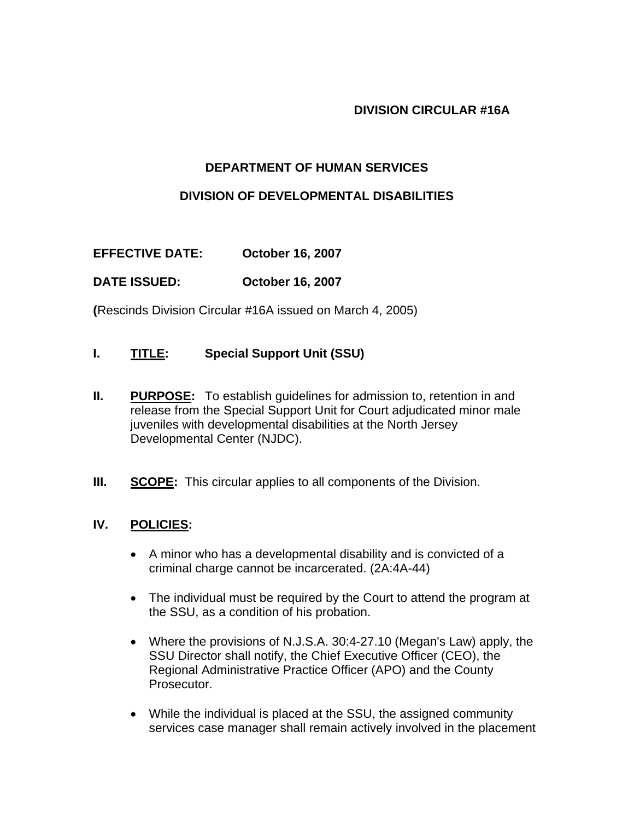#### **DIVISION CIRCULAR #16A**

### **DEPARTMENT OF HUMAN SERVICES**

#### **DIVISION OF DEVELOPMENTAL DISABILITIES**

**EFFECTIVE DATE: October 16, 2007** 

### **DATE ISSUED: October 16, 2007**

**(**Rescinds Division Circular #16A issued on March 4, 2005)

### **I. TITLE: Special Support Unit (SSU)**

- **II.** PURPOSE: To establish guidelines for admission to, retention in and release from the Special Support Unit for Court adjudicated minor male juveniles with developmental disabilities at the North Jersey Developmental Center (NJDC).
- **III.** SCOPE: This circular applies to all components of the Division.

### **IV. POLICIES:**

- A minor who has a developmental disability and is convicted of a criminal charge cannot be incarcerated. (2A:4A-44)
- The individual must be required by the Court to attend the program at the SSU, as a condition of his probation.
- Where the provisions of N.J.S.A. 30:4-27.10 (Megan's Law) apply, the SSU Director shall notify, the Chief Executive Officer (CEO), the Regional Administrative Practice Officer (APO) and the County Prosecutor.
- While the individual is placed at the SSU, the assigned community services case manager shall remain actively involved in the placement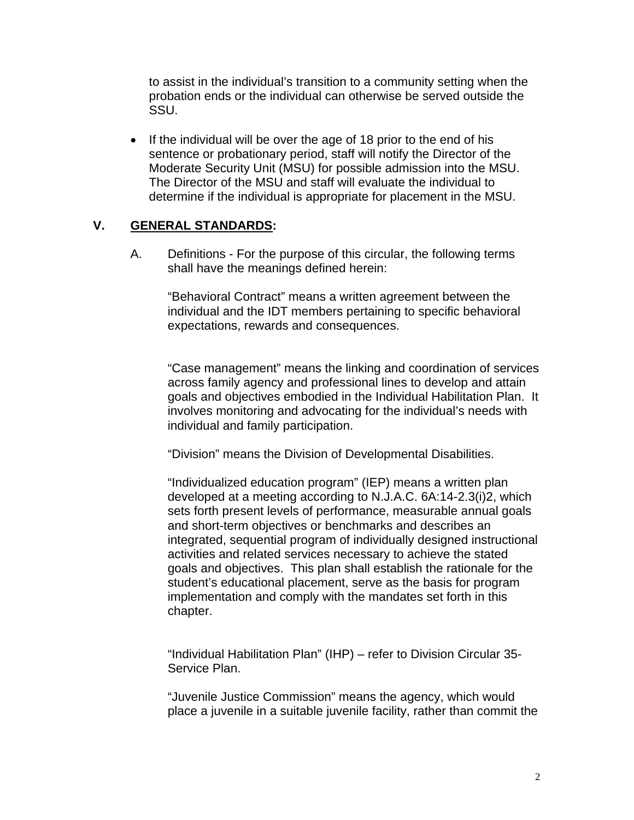to assist in the individual's transition to a community setting when the probation ends or the individual can otherwise be served outside the SSU.

• If the individual will be over the age of 18 prior to the end of his sentence or probationary period, staff will notify the Director of the Moderate Security Unit (MSU) for possible admission into the MSU. The Director of the MSU and staff will evaluate the individual to determine if the individual is appropriate for placement in the MSU.

### **V. GENERAL STANDARDS:**

A. Definitions - For the purpose of this circular, the following terms shall have the meanings defined herein:

"Behavioral Contract" means a written agreement between the individual and the IDT members pertaining to specific behavioral expectations, rewards and consequences.

"Case management" means the linking and coordination of services across family agency and professional lines to develop and attain goals and objectives embodied in the Individual Habilitation Plan. It involves monitoring and advocating for the individual's needs with individual and family participation.

"Division" means the Division of Developmental Disabilities.

 "Individualized education program" (IEP) means a written plan developed at a meeting according to N.J.A.C. 6A:14-2.3(i)2, which sets forth present levels of performance, measurable annual goals and short-term objectives or benchmarks and describes an integrated, sequential program of individually designed instructional activities and related services necessary to achieve the stated goals and objectives. This plan shall establish the rationale for the student's educational placement, serve as the basis for program implementation and comply with the mandates set forth in this chapter.

"Individual Habilitation Plan" (IHP) – refer to Division Circular 35- Service Plan.

"Juvenile Justice Commission" means the agency, which would place a juvenile in a suitable juvenile facility, rather than commit the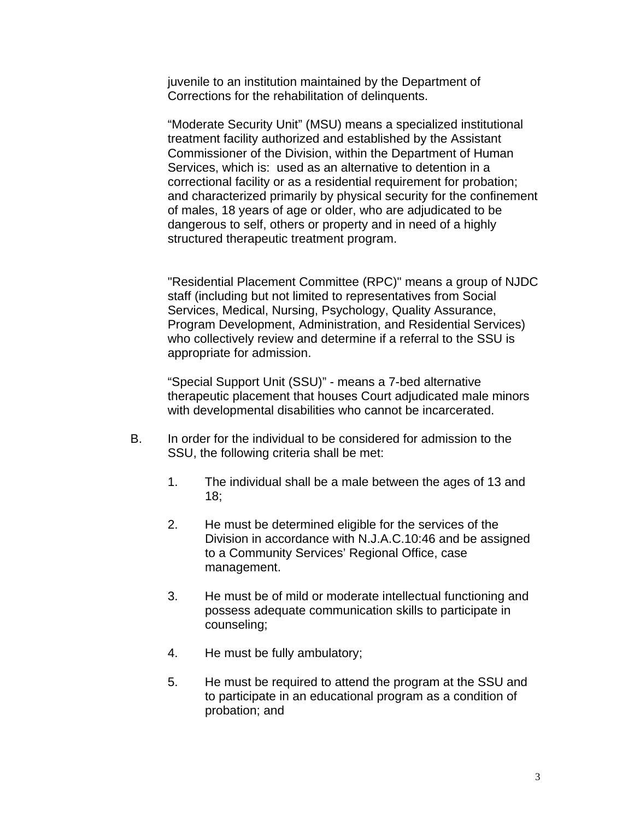juvenile to an institution maintained by the Department of Corrections for the rehabilitation of delinquents.

"Moderate Security Unit" (MSU) means a specialized institutional treatment facility authorized and established by the Assistant Commissioner of the Division, within the Department of Human Services, which is: used as an alternative to detention in a correctional facility or as a residential requirement for probation; and characterized primarily by physical security for the confinement of males, 18 years of age or older, who are adjudicated to be dangerous to self, others or property and in need of a highly structured therapeutic treatment program.

"Residential Placement Committee (RPC)" means a group of NJDC staff (including but not limited to representatives from Social Services, Medical, Nursing, Psychology, Quality Assurance, Program Development, Administration, and Residential Services) who collectively review and determine if a referral to the SSU is appropriate for admission.

"Special Support Unit (SSU)" - means a 7-bed alternative therapeutic placement that houses Court adjudicated male minors with developmental disabilities who cannot be incarcerated.

- B. In order for the individual to be considered for admission to the SSU, the following criteria shall be met:
	- 1. The individual shall be a male between the ages of 13 and 18;
	- 2. He must be determined eligible for the services of the Division in accordance with N.J.A.C.10:46 and be assigned to a Community Services' Regional Office, case management.
	- 3. He must be of mild or moderate intellectual functioning and possess adequate communication skills to participate in counseling;
	- 4. He must be fully ambulatory;
	- 5. He must be required to attend the program at the SSU and to participate in an educational program as a condition of probation; and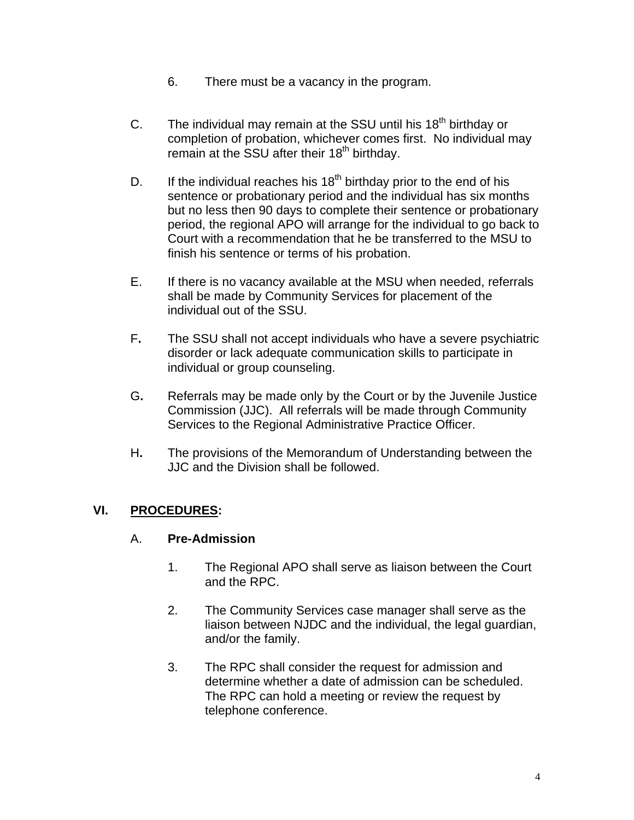- 6. There must be a vacancy in the program.
- C. The individual may remain at the SSU until his  $18<sup>th</sup>$  birthday or completion of probation, whichever comes first. No individual may  $r = 1$  remain at the SSU after their 18<sup>th</sup> birthday.
- D. If the individual reaches his  $18<sup>th</sup>$  birthday prior to the end of his sentence or probationary period and the individual has six months but no less then 90 days to complete their sentence or probationary period, the regional APO will arrange for the individual to go back to Court with a recommendation that he be transferred to the MSU to finish his sentence or terms of his probation.
- E. If there is no vacancy available at the MSU when needed, referrals shall be made by Community Services for placement of the individual out of the SSU.
- F**.** The SSU shall not accept individuals who have a severe psychiatric disorder or lack adequate communication skills to participate in individual or group counseling.
- G**.** Referrals may be made only by the Court or by the Juvenile Justice Commission (JJC). All referrals will be made through Community Services to the Regional Administrative Practice Officer.
- H**.** The provisions of the Memorandum of Understanding between the JJC and the Division shall be followed.

# **VI. PROCEDURES:**

# A. **Pre-Admission**

- 1. The Regional APO shall serve as liaison between the Court and the RPC.
- 2. The Community Services case manager shall serve as the liaison between NJDC and the individual, the legal guardian, and/or the family.
- 3. The RPC shall consider the request for admission and determine whether a date of admission can be scheduled. The RPC can hold a meeting or review the request by telephone conference.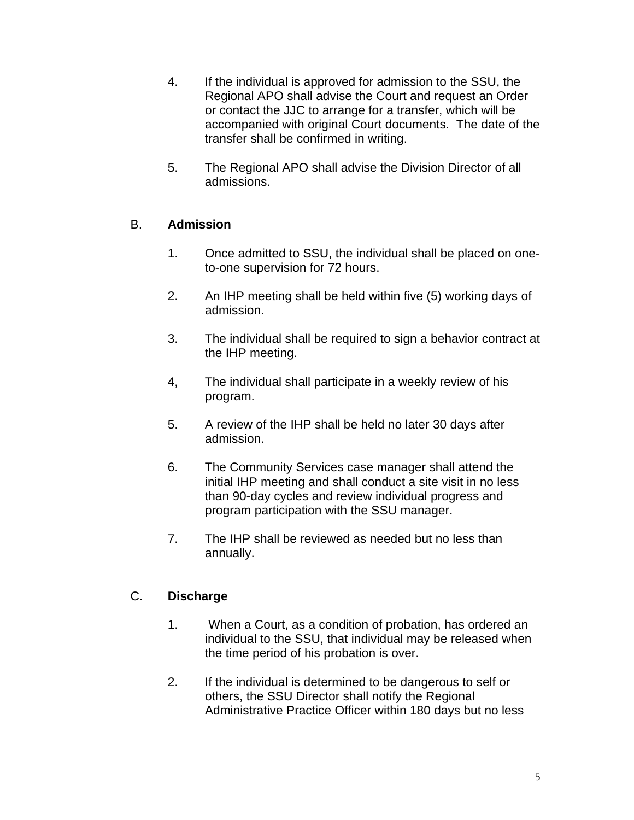- 4. If the individual is approved for admission to the SSU, the Regional APO shall advise the Court and request an Order or contact the JJC to arrange for a transfer, which will be accompanied with original Court documents. The date of the transfer shall be confirmed in writing.
- 5. The Regional APO shall advise the Division Director of all admissions.

# B. **Admission**

- 1. Once admitted to SSU, the individual shall be placed on oneto-one supervision for 72 hours.
- 2. An IHP meeting shall be held within five (5) working days of admission.
- 3. The individual shall be required to sign a behavior contract at the IHP meeting.
- 4, The individual shall participate in a weekly review of his program.
- 5. A review of the IHP shall be held no later 30 days after admission.
- 6. The Community Services case manager shall attend the initial IHP meeting and shall conduct a site visit in no less than 90-day cycles and review individual progress and program participation with the SSU manager.
- 7. The IHP shall be reviewed as needed but no less than annually.

# C. **Discharge**

- 1. When a Court, as a condition of probation, has ordered an individual to the SSU, that individual may be released when the time period of his probation is over.
- 2. If the individual is determined to be dangerous to self or others, the SSU Director shall notify the Regional Administrative Practice Officer within 180 days but no less